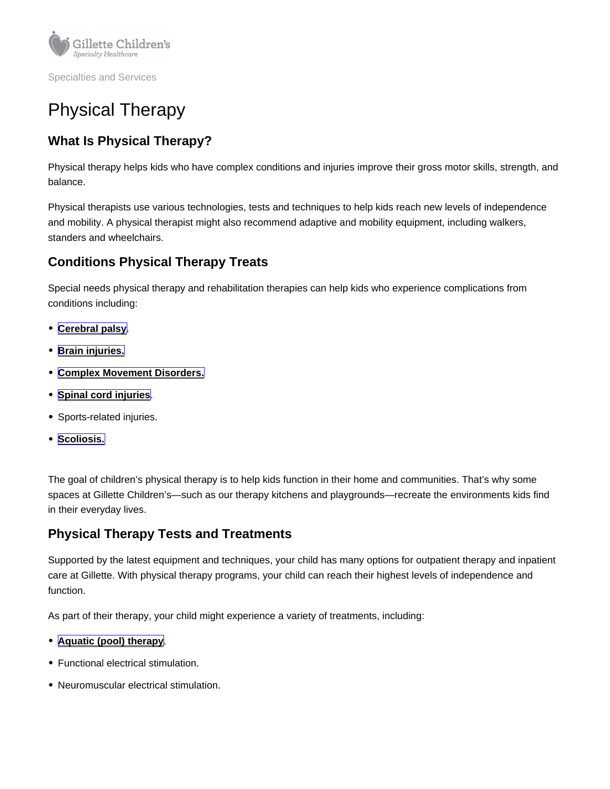Specialties and Services

# Physical Therapy

## What Is Physical Therapy?

Physical therapy helps kids who have complex conditions and injuries improve their gross motor skills, strength, and balance.

Physical therapists use various technologies, tests and techniques to help kids reach new levels of independence and mobility. A physical therapist might also recommend adaptive and mobility equipment, including walkers, standers and wheelchairs.

### Conditions Physical Therapy Treats

Special needs physical therapy and rehabilitation therapies can help kids who experience complications from conditions including:

- [Cerebral palsy](https://www.gillettechildrens.org/conditions-care/cerebral-palsy) .
- [Brain injuries.](https://www.gillettechildrens.org/conditions-care/brain-injury/what-is-a-brain-injury)
- [Complex Movement Disorders.](https://www.gillettechildrens.org/conditions-care/complex-movement-disorders)
- [Spinal cord injuries](https://www.gillettechildrens.org/conditions-care/spinal-cord-injury)
- Sports-related injuries.
- [Scoliosis.](https://www.gillettechildrens.org/conditions-care/scoliosis-idiopathic-neuromuscular-and-congenital)

The goal of children's physical therapy is to help kids function in their home and communities. That's why some spaces at Gillette Children's—such as our therapy kitchens and playgrounds—recreate the environments kids find in their everyday lives.

#### Physical Therapy Tests and Treatments

Supported by the latest equipment and techniques, your child has many options for outpatient therapy and inpatient care at Gillette. With physical therapy programs, your child can reach their highest levels of independence and function.

As part of their therapy, your child might experience a variety of treatments, including:

- [Aquatic \(pool\) therapy](https://www.gillettechildrens.org/conditions-care/aquatic-pool-therapy) .
- Functional electrical stimulation.
- Neuromuscular electrical stimulation.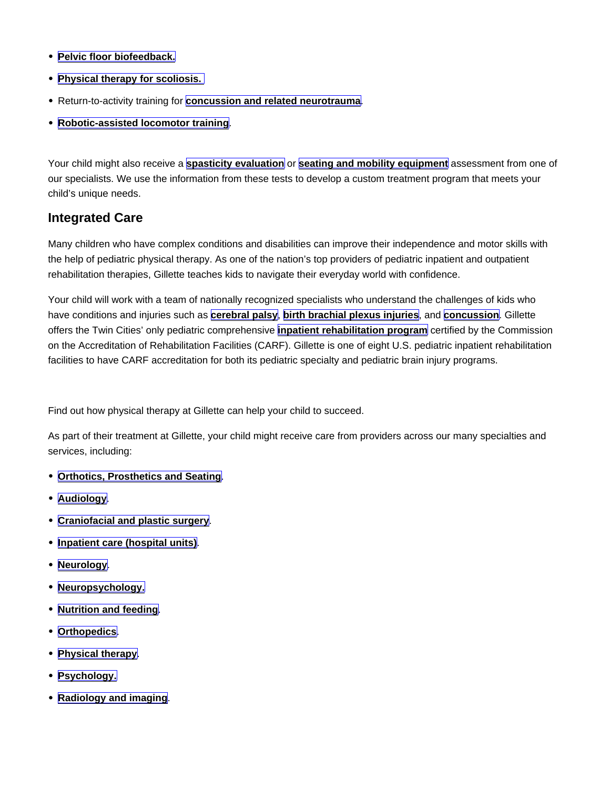- [Pelvic floor biofeedback.](https://www.gillettechildrens.org/conditions-care/pelvic-floor-biofeedback)
- [Physical therapy for scoliosis.](https://www.gillettechildrens.org/conditions-care/physical-therapy-for-scoliosis)
- Return-to-activity training for **[concussion and related neurotrauma](https://www.gillettechildrens.org/conditions-care/concussion-and-related-neurotrauma)**
- [Robotic-assisted locomotor training](https://www.gillettechildrens.org/conditions-care/robotic-assisted-locomotor-training-lokomat)

Your child might also receive a [spasticity evaluation](https://www.gillettechildrens.org/conditions-care/spasticity-evaluation) or [seating and mobility equipment](https://www.gillettechildrens.org/conditions-care/seating-and-mobility-equipment) assessment from one of our specialists. We use the information from these tests to develop a custom treatment program that meets your child's unique needs.

#### Integrated Care

Many children who have complex conditions and disabilities can improve their independence and motor skills with the help of pediatric physical therapy. As one of the nation's top providers of pediatric inpatient and outpatient rehabilitation therapies, Gillette teaches kids to navigate their everyday world with confidence.

Your child will work with a team of nationally recognized specialists who understand the challenges of kids who have conditions and injuries such as [cerebral palsy](https://www.gillettechildrens.org/conditions-care/cerebral-palsy) , [birth brachial plexus injuries](https://www.gillettechildrens.org/conditions-care/brachial-plexus-birth-injury) , and [concussion](https://www.gillettechildrens.org/conditions-care/concussion-and-related-neurotrauma) . Gillette offers the Twin Cities' only pediatric comprehensive [inpatient rehabilitation program](https://www.gillettechildrens.org/conditions-care/comprehensive-inpatient-rehabilitation) certified by the Commission on the Accreditation of Rehabilitation Facilities (CARF). Gillette is one of eight U.S. pediatric inpatient rehabilitation facilities to have CARF accreditation for both its pediatric specialty and pediatric brain injury programs.

Find out how physical therapy at Gillette can help your child to succeed.

As part of their treatment at Gillette, your child might receive care from providers across our many specialties and services, including:

- [Orthotics, Prosthetics and Seating](https://www.gillettechildrens.org/conditions-care/orthotics-prosthetics-and-seating)
- [Audiology](https://www.gillettechildrens.org/conditions-care/audiology) .
- [Craniofacial and plastic surgery](https://www.gillettechildrens.org/conditions-care/craniofacial-and-plastic-surgery)
- [Inpatient care \(hospital units\)](https://www.gillettechildrens.org/your-visit/during-your-visit-or-hospital-stay/our-hospital-units) .
- [Neurology](https://www.gillettechildrens.org/conditions-care/neurology).
- [Neuropsychology.](https://www.gillettechildrens.org/conditions-care/neuropsychology)
- [Nutrition and feeding](https://www.gillettechildrens.org/conditions-care/nutrition-and-feeding).
- [Orthopedics](https://www.gillettechildrens.org/conditions-care/orthopedics) .
- [Physical therapy](https://www.gillettechildrens.org/conditions-care/physical-therapy) .
- [Psychology.](https://www.gillettechildrens.org/conditions-care/psychology)
- [Radiology and imaging](https://www.gillettechildrens.org/conditions-care/radiology-and-imaging) .